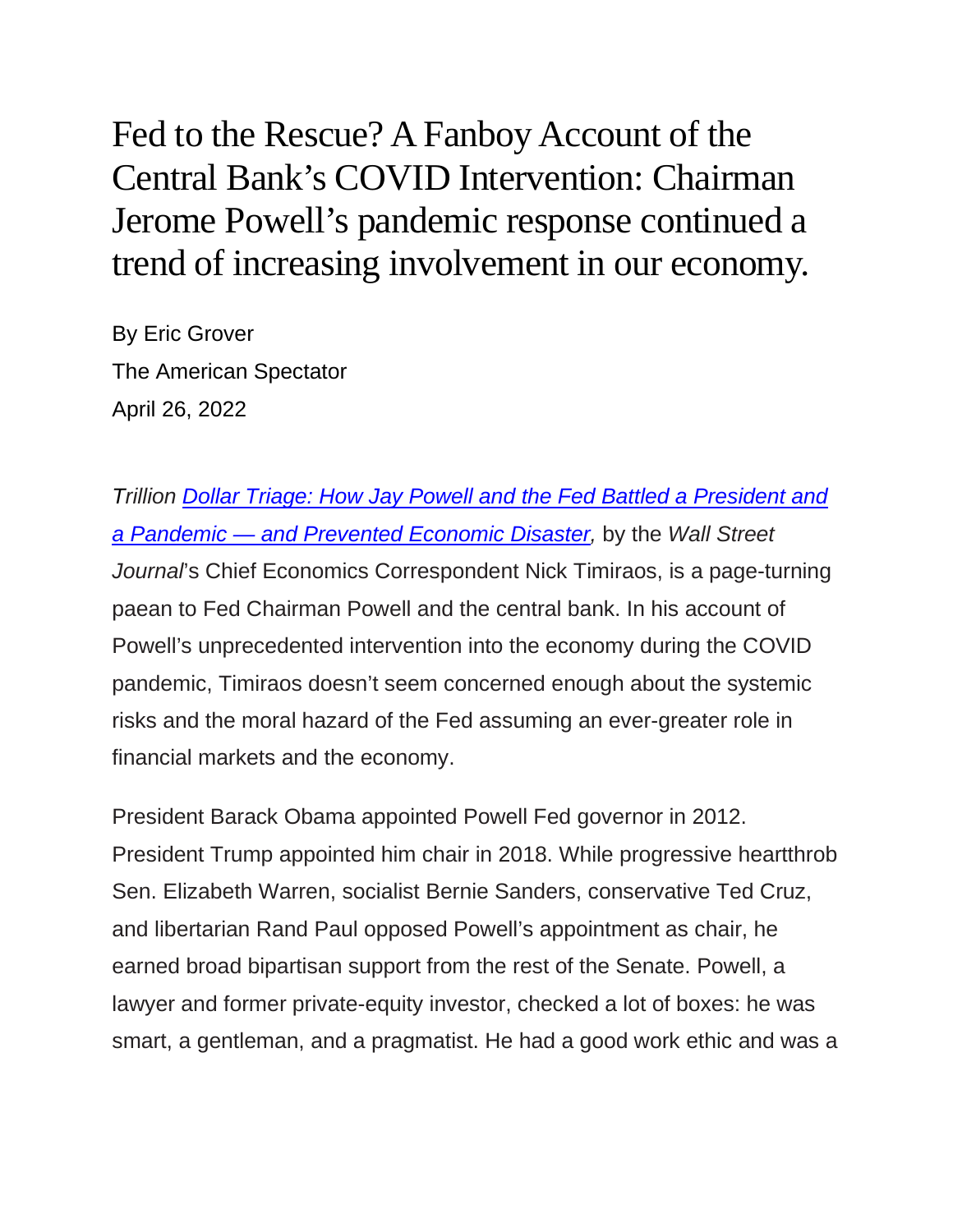Fed to the Rescue? A Fanboy Account of the Central Bank's COVID Intervention: Chairman Jerome Powell's pandemic response continued a trend of increasing involvement in our economy.

By Eric Grover The American Spectator April 26, 2022

*Trillion [Dollar Triage: How Jay Powell and the Fed Battled a President and](https://amzn.to/3LwNR0U)  a Pandemic — [and Prevented Economic Disaster,](https://amzn.to/3LwNR0U)* by the *Wall Street Journal*'s Chief Economics Correspondent Nick Timiraos, is a page-turning paean to Fed Chairman Powell and the central bank. In his account of Powell's unprecedented intervention into the economy during the COVID pandemic, Timiraos doesn't seem concerned enough about the systemic risks and the moral hazard of the Fed assuming an ever-greater role in financial markets and the economy.

President Barack Obama appointed Powell Fed governor in 2012. President Trump appointed him chair in 2018. While progressive heartthrob Sen. Elizabeth Warren, socialist Bernie Sanders, conservative Ted Cruz, and libertarian Rand Paul opposed Powell's appointment as chair, he earned broad bipartisan support from the rest of the Senate. Powell, a lawyer and former private-equity investor, checked a lot of boxes: he was smart, a gentleman, and a pragmatist. He had a good work ethic and was a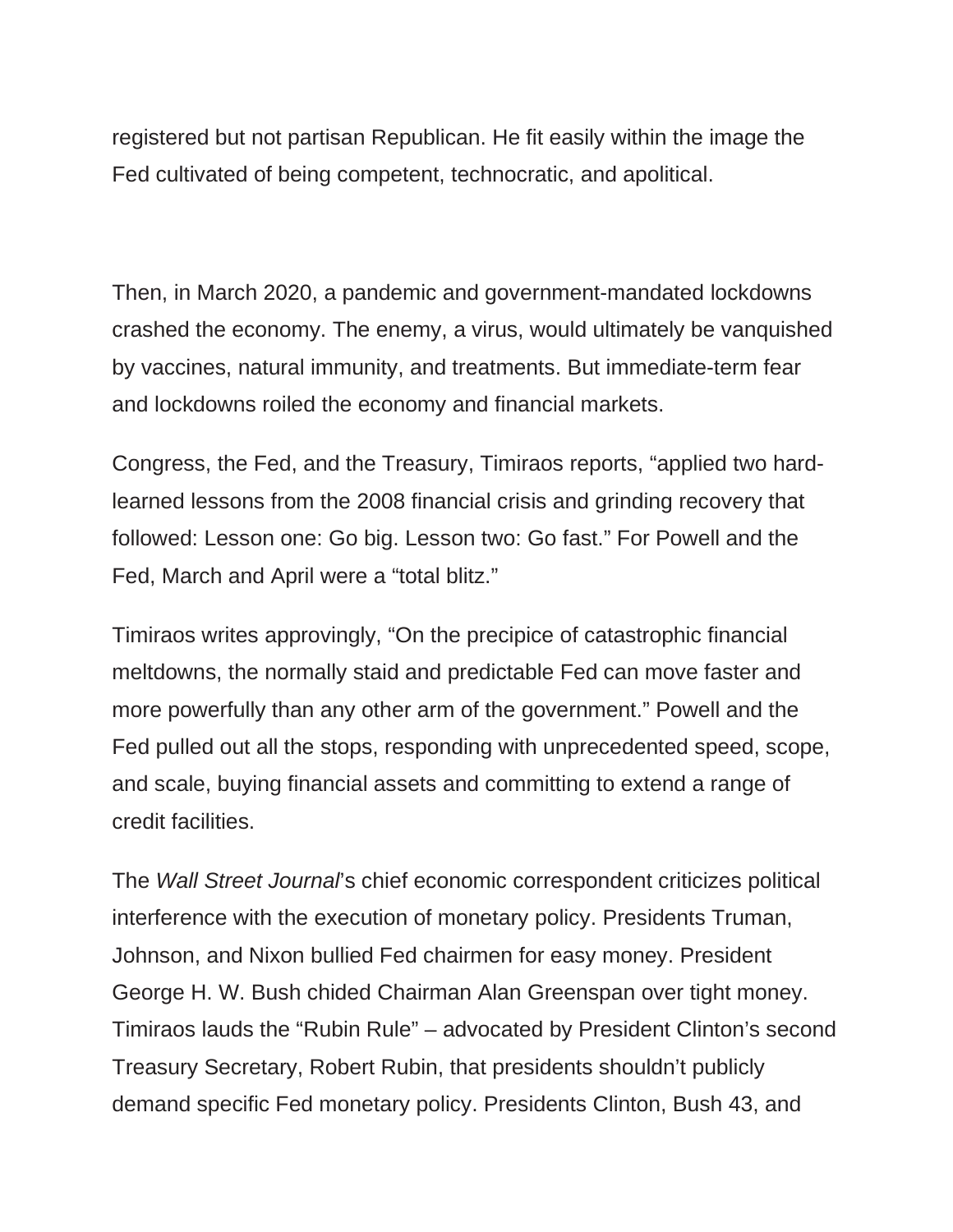registered but not partisan Republican. He fit easily within the image the Fed cultivated of being competent, technocratic, and apolitical.

Then, in March 2020, a pandemic and government-mandated lockdowns crashed the economy. The enemy, a virus, would ultimately be vanquished by vaccines, natural immunity, and treatments. But immediate-term fear and lockdowns roiled the economy and financial markets.

Congress, the Fed, and the Treasury, Timiraos reports, "applied two hardlearned lessons from the 2008 financial crisis and grinding recovery that followed: Lesson one: Go big. Lesson two: Go fast." For Powell and the Fed, March and April were a "total blitz."

Timiraos writes approvingly, "On the precipice of catastrophic financial meltdowns, the normally staid and predictable Fed can move faster and more powerfully than any other arm of the government." Powell and the Fed pulled out all the stops, responding with unprecedented speed, scope, and scale, buying financial assets and committing to extend a range of credit facilities.

The *Wall Street Journal*'s chief economic correspondent criticizes political interference with the execution of monetary policy. Presidents Truman, Johnson, and Nixon bullied Fed chairmen for easy money. President George H. W. Bush chided Chairman Alan Greenspan over tight money. Timiraos lauds the "Rubin Rule" – advocated by President Clinton's second Treasury Secretary, Robert Rubin, that presidents shouldn't publicly demand specific Fed monetary policy. Presidents Clinton, Bush 43, and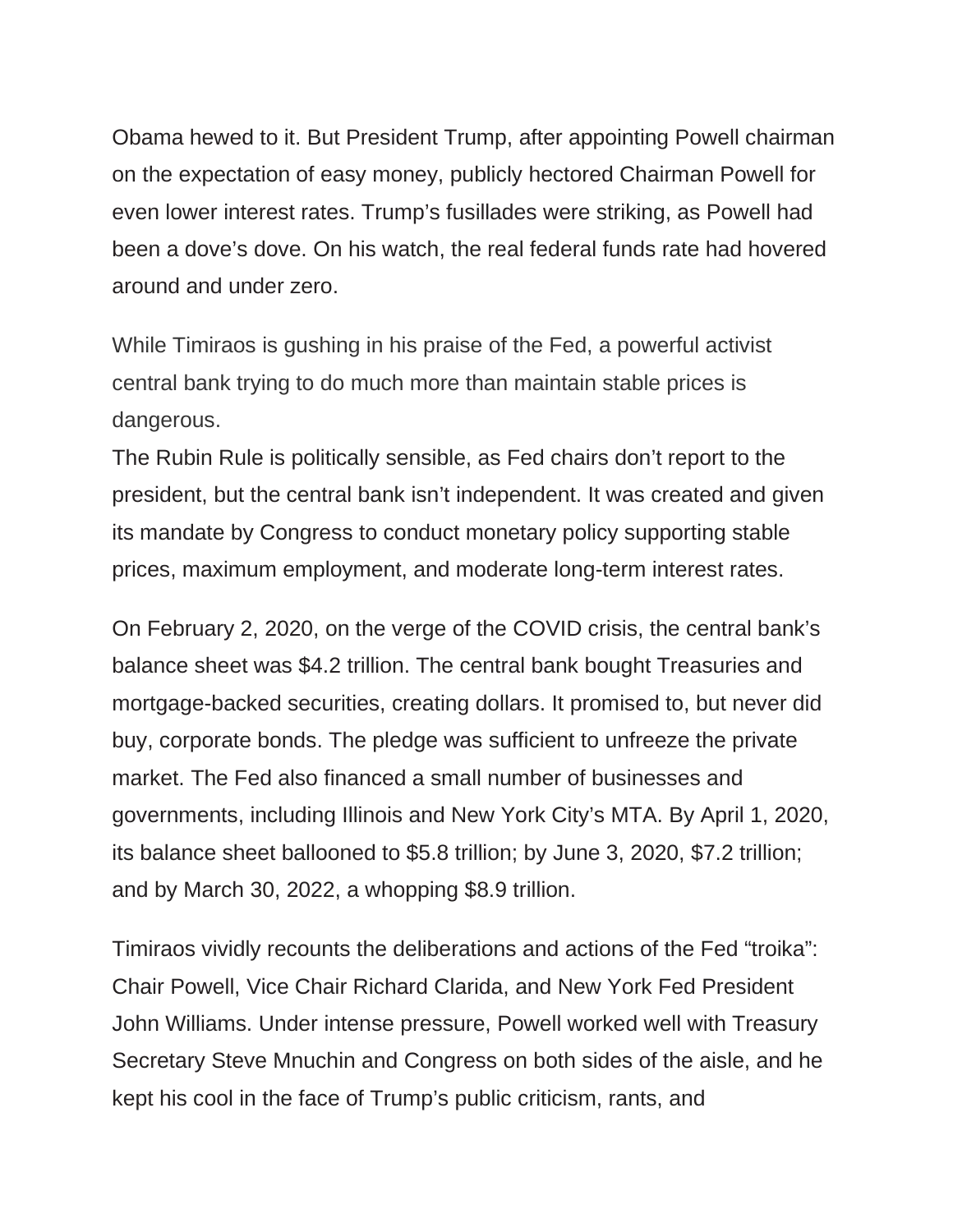Obama hewed to it. But President Trump, after appointing Powell chairman on the expectation of easy money, publicly hectored Chairman Powell for even lower interest rates. Trump's fusillades were striking, as Powell had been a dove's dove. On his watch, the real federal funds rate had hovered around and under zero.

While Timiraos is gushing in his praise of the Fed, a powerful activist central bank trying to do much more than maintain stable prices is dangerous.

The Rubin Rule is politically sensible, as Fed chairs don't report to the president, but the central bank isn't independent. It was created and given its mandate by Congress to conduct monetary policy supporting stable prices, maximum employment, and moderate long-term interest rates.

On February 2, 2020, on the verge of the COVID crisis, the central bank's balance sheet was \$4.2 trillion. The central bank bought Treasuries and mortgage-backed securities, creating dollars. It promised to, but never did buy, corporate bonds. The pledge was sufficient to unfreeze the private market. The Fed also financed a small number of businesses and governments, including Illinois and New York City's MTA. By April 1, 2020, its balance sheet ballooned to \$5.8 trillion; by June 3, 2020, \$7.2 trillion; and by March 30, 2022, a whopping \$8.9 trillion.

Timiraos vividly recounts the deliberations and actions of the Fed "troika": Chair Powell, Vice Chair Richard Clarida, and New York Fed President John Williams. Under intense pressure, Powell worked well with Treasury Secretary Steve Mnuchin and Congress on both sides of the aisle, and he kept his cool in the face of Trump's public criticism, rants, and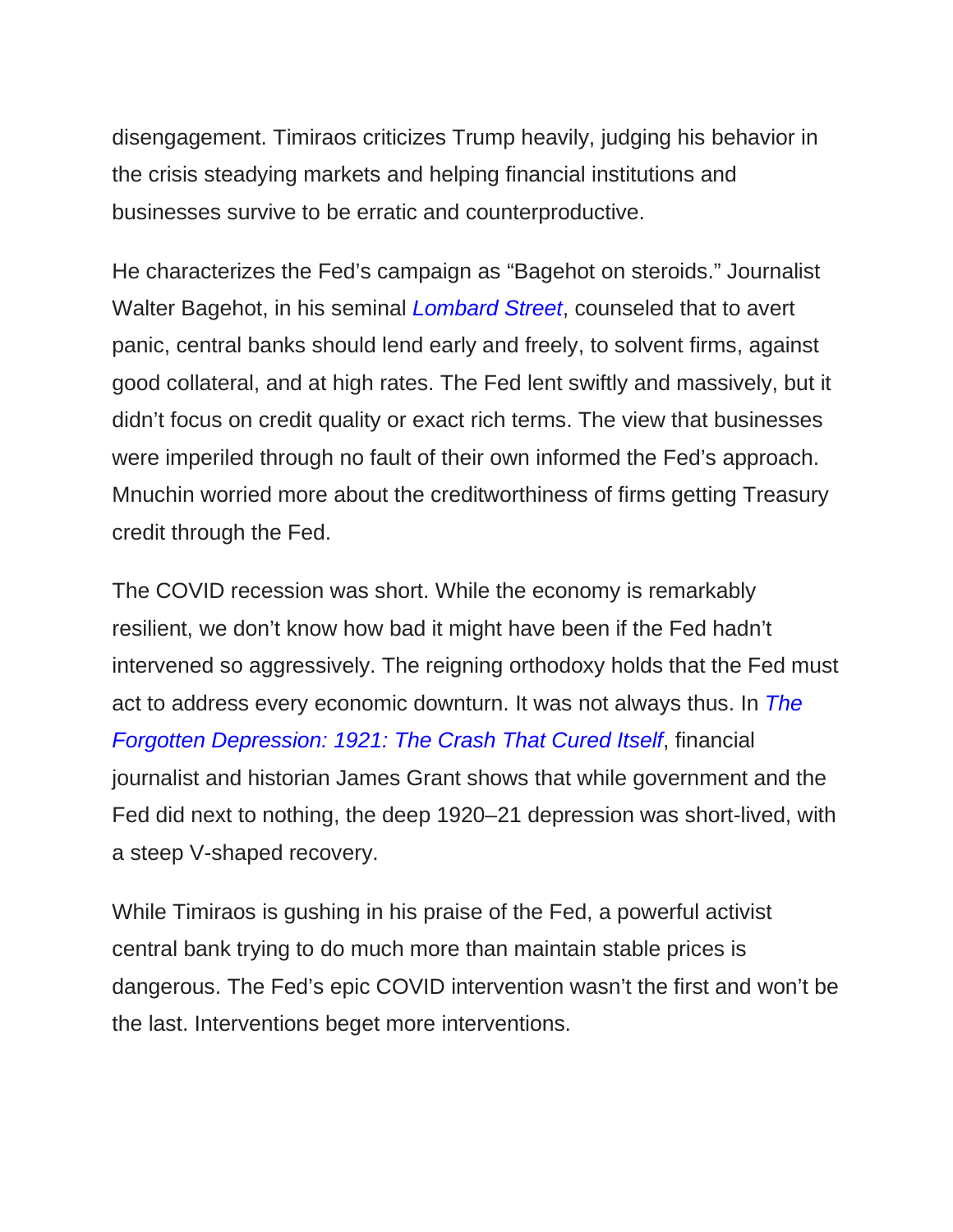disengagement. Timiraos criticizes Trump heavily, judging his behavior in the crisis steadying markets and helping financial institutions and businesses survive to be erratic and counterproductive.

He characterizes the Fed's campaign as "Bagehot on steroids." Journalist Walter Bagehot, in his seminal *[Lombard Street](https://amzn.to/3rU7QPn)*, counseled that to avert panic, central banks should lend early and freely, to solvent firms, against good collateral, and at high rates. The Fed lent swiftly and massively, but it didn't focus on credit quality or exact rich terms. The view that businesses were imperiled through no fault of their own informed the Fed's approach. Mnuchin worried more about the creditworthiness of firms getting Treasury credit through the Fed.

The COVID recession was short. While the economy is remarkably resilient, we don't know how bad it might have been if the Fed hadn't intervened so aggressively. The reigning orthodoxy holds that the Fed must act to address every economic downturn. It was not always thus. In *[The](https://amzn.to/3MwdKOO)  [Forgotten Depression: 1921: The Crash That Cured Itself](https://amzn.to/3MwdKOO)*, financial journalist and historian James Grant shows that while government and the Fed did next to nothing, the deep 1920–21 depression was short-lived, with a steep V-shaped recovery.

While Timiraos is gushing in his praise of the Fed, a powerful activist central bank trying to do much more than maintain stable prices is dangerous. The Fed's epic COVID intervention wasn't the first and won't be the last. Interventions beget more interventions.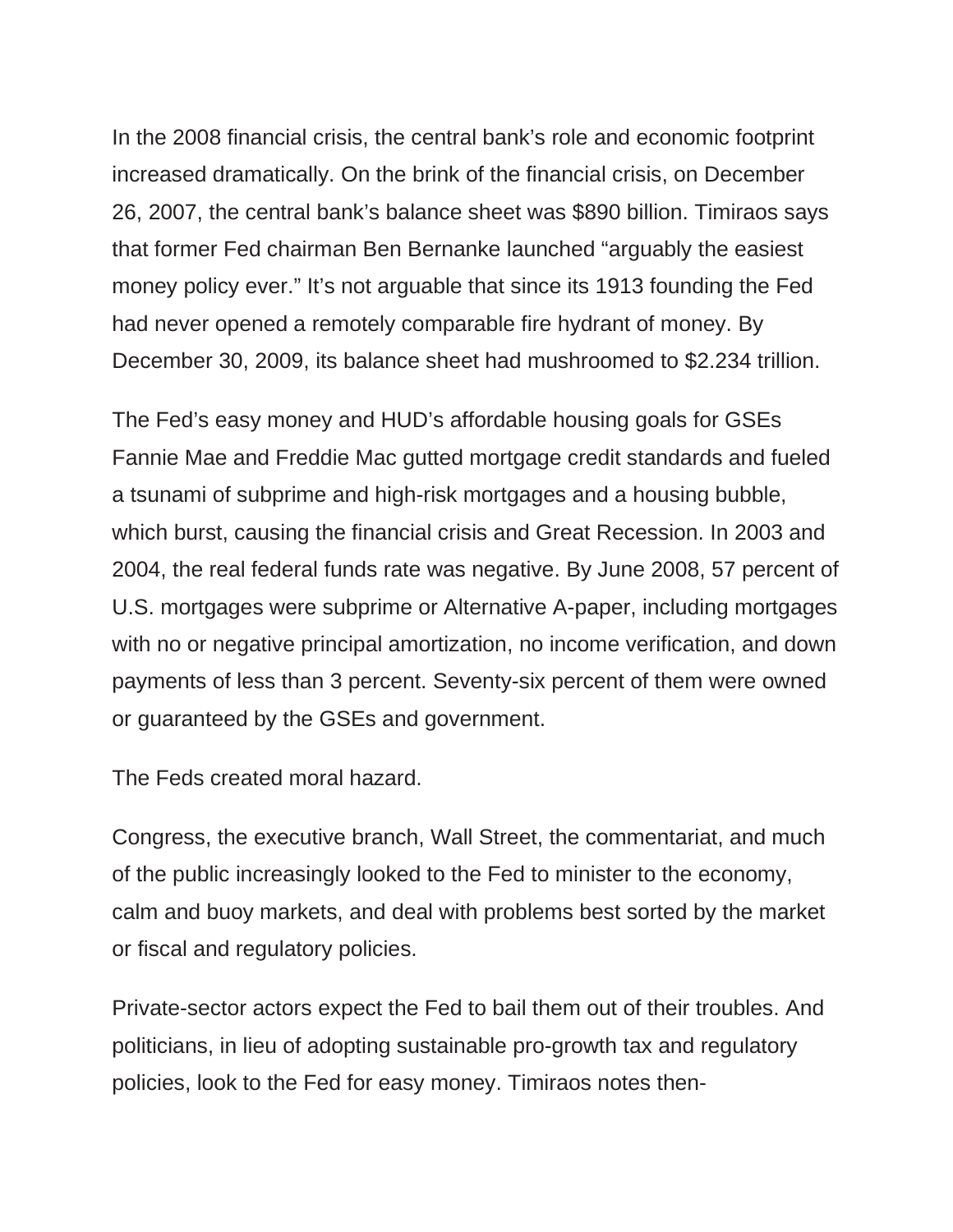In the 2008 financial crisis, the central bank's role and economic footprint increased dramatically. On the brink of the financial crisis, on December 26, 2007, the central bank's balance sheet was \$890 billion. Timiraos says that former Fed chairman Ben Bernanke launched "arguably the easiest money policy ever." It's not arguable that since its 1913 founding the Fed had never opened a remotely comparable fire hydrant of money. By December 30, 2009, its balance sheet had mushroomed to \$2.234 trillion.

The Fed's easy money and HUD's affordable housing goals for GSEs Fannie Mae and Freddie Mac gutted mortgage credit standards and fueled a tsunami of subprime and high-risk mortgages and a housing bubble, which burst, causing the financial crisis and Great Recession. In 2003 and 2004, the real federal funds rate was negative. By June 2008, 57 percent of U.S. mortgages were subprime or Alternative A-paper, including mortgages with no or negative principal amortization, no income verification, and down payments of less than 3 percent. Seventy-six percent of them were owned or guaranteed by the GSEs and government.

The Feds created moral hazard.

Congress, the executive branch, Wall Street, the commentariat, and much of the public increasingly looked to the Fed to minister to the economy, calm and buoy markets, and deal with problems best sorted by the market or fiscal and regulatory policies.

Private-sector actors expect the Fed to bail them out of their troubles. And politicians, in lieu of adopting sustainable pro-growth tax and regulatory policies, look to the Fed for easy money. Timiraos notes then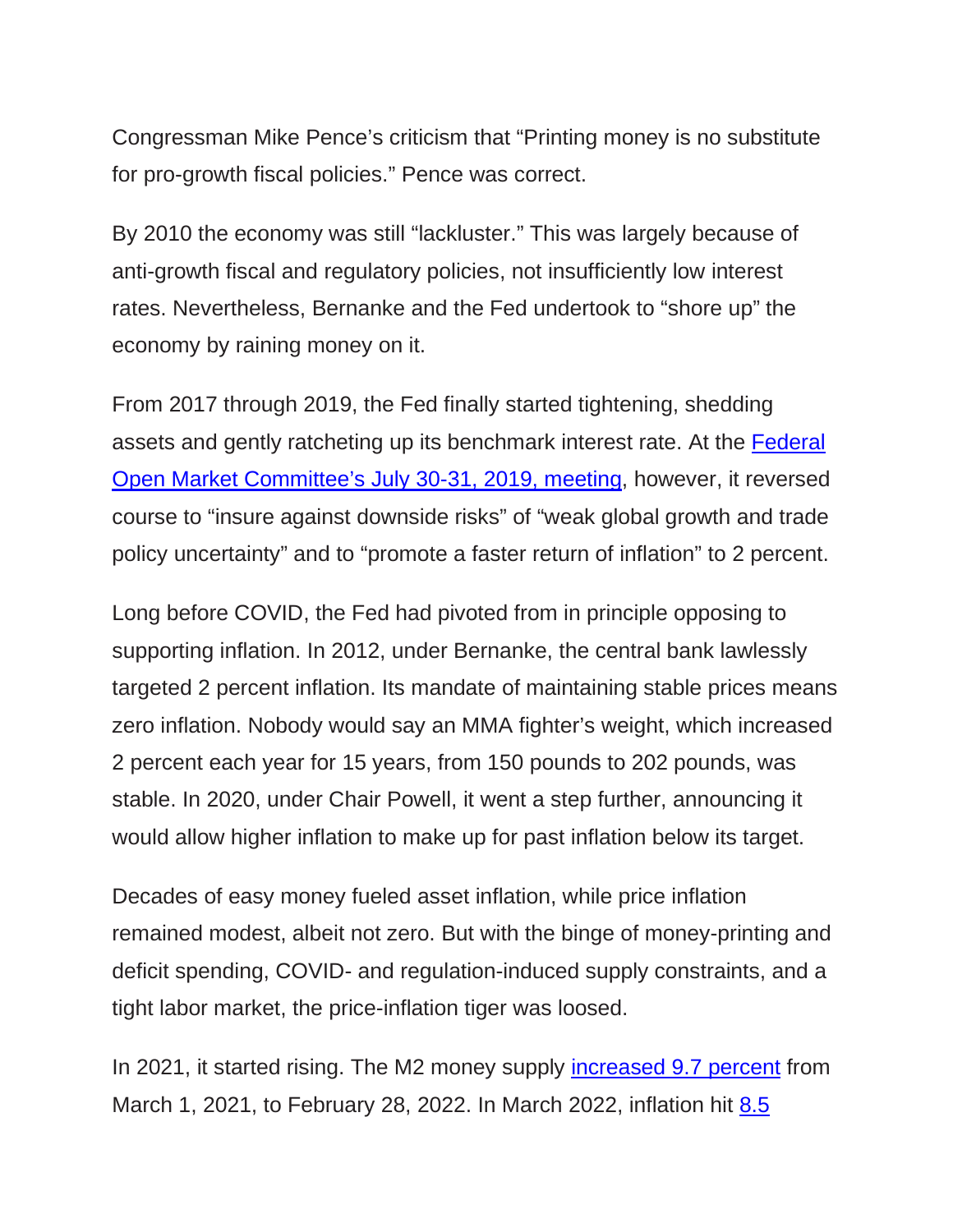Congressman Mike Pence's criticism that "Printing money is no substitute for pro-growth fiscal policies." Pence was correct.

By 2010 the economy was still "lackluster." This was largely because of anti-growth fiscal and regulatory policies, not insufficiently low interest rates. Nevertheless, Bernanke and the Fed undertook to "shore up" the economy by raining money on it.

From 2017 through 2019, the Fed finally started tightening, shedding assets and gently ratcheting up its benchmark interest rate. At the [Federal](https://www.federalreserve.gov/mediacenter/files/FOMCpresconf20190731.pdf)  [Open Market Committee's July 30-31, 2019, meeting,](https://www.federalreserve.gov/mediacenter/files/FOMCpresconf20190731.pdf) however, it reversed course to "insure against downside risks" of "weak global growth and trade policy uncertainty" and to "promote a faster return of inflation" to 2 percent.

Long before COVID, the Fed had pivoted from in principle opposing to supporting inflation. In 2012, under Bernanke, the central bank lawlessly targeted 2 percent inflation. Its mandate of maintaining stable prices means zero inflation. Nobody would say an MMA fighter's weight, which increased 2 percent each year for 15 years, from 150 pounds to 202 pounds, was stable. In 2020, under Chair Powell, it went a step further, announcing it would allow higher inflation to make up for past inflation below its target.

Decades of easy money fueled asset inflation, while price inflation remained modest, albeit not zero. But with the binge of money-printing and deficit spending, COVID- and regulation-induced supply constraints, and a tight labor market, the price-inflation tiger was loosed.

In 2021, it started rising. The M2 money supply [increased 9.7 percent](https://fred.stlouisfed.org/series/WM2NS) from March 1, 2021, to February 28, 2022. In March 2022, inflation hit [8.5](https://www.bls.gov/news.release/cpi.nr0.htm)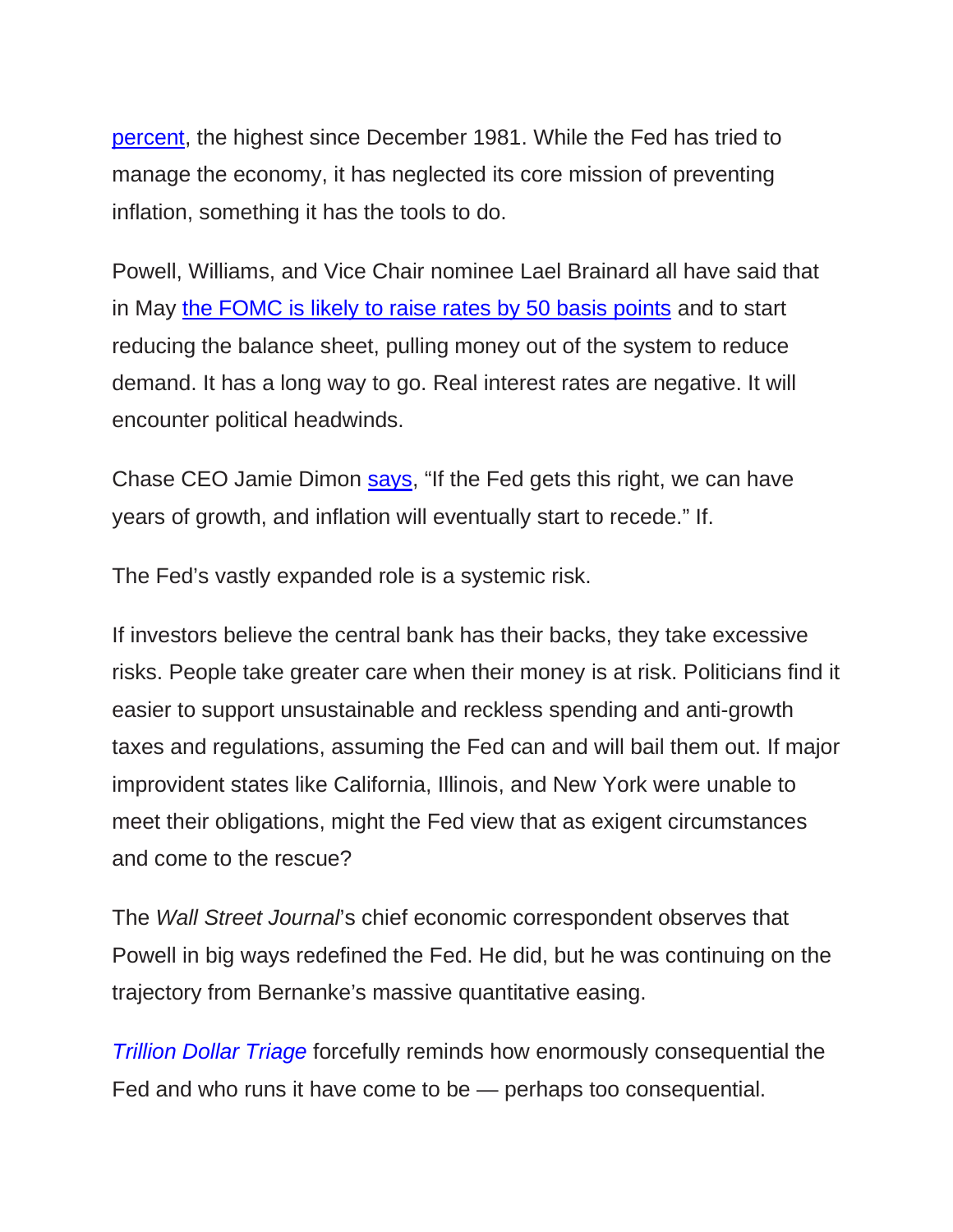[percent,](https://www.bls.gov/news.release/cpi.nr0.htm) the highest since December 1981. While the Fed has tried to manage the economy, it has neglected its core mission of preventing inflation, something it has the tools to do.

Powell, Williams, and Vice Chair nominee Lael Brainard all have said that in May [the FOMC is likely to raise rates by 50 basis points](https://www.wsj.com/articles/feds-powell-could-seal-expectations-of-half-point-rate-rise-in-may-11650533444?mod=Searchresults_pos2&page=1) and to start reducing the balance sheet, pulling money out of the system to reduce demand. It has a long way to go. Real interest rates are negative. It will encounter political headwinds.

Chase CEO Jamie Dimon [says,](https://www.ft.com/content/25675232-811b-49b7-9d8c-5e1fe11c62bd) "If the Fed gets this right, we can have years of growth, and inflation will eventually start to recede." If.

The Fed's vastly expanded role is a systemic risk.

If investors believe the central bank has their backs, they take excessive risks. People take greater care when their money is at risk. Politicians find it easier to support unsustainable and reckless spending and anti-growth taxes and regulations, assuming the Fed can and will bail them out. If major improvident states like California, Illinois, and New York were unable to meet their obligations, might the Fed view that as exigent circumstances and come to the rescue?

The *Wall Street Journal*'s chief economic correspondent observes that Powell in big ways redefined the Fed. He did, but he was continuing on the trajectory from Bernanke's massive quantitative easing.

*[Trillion Dollar Triage](https://amzn.to/3LwNR0U)* forcefully reminds how enormously consequential the Fed and who runs it have come to be — perhaps too consequential.